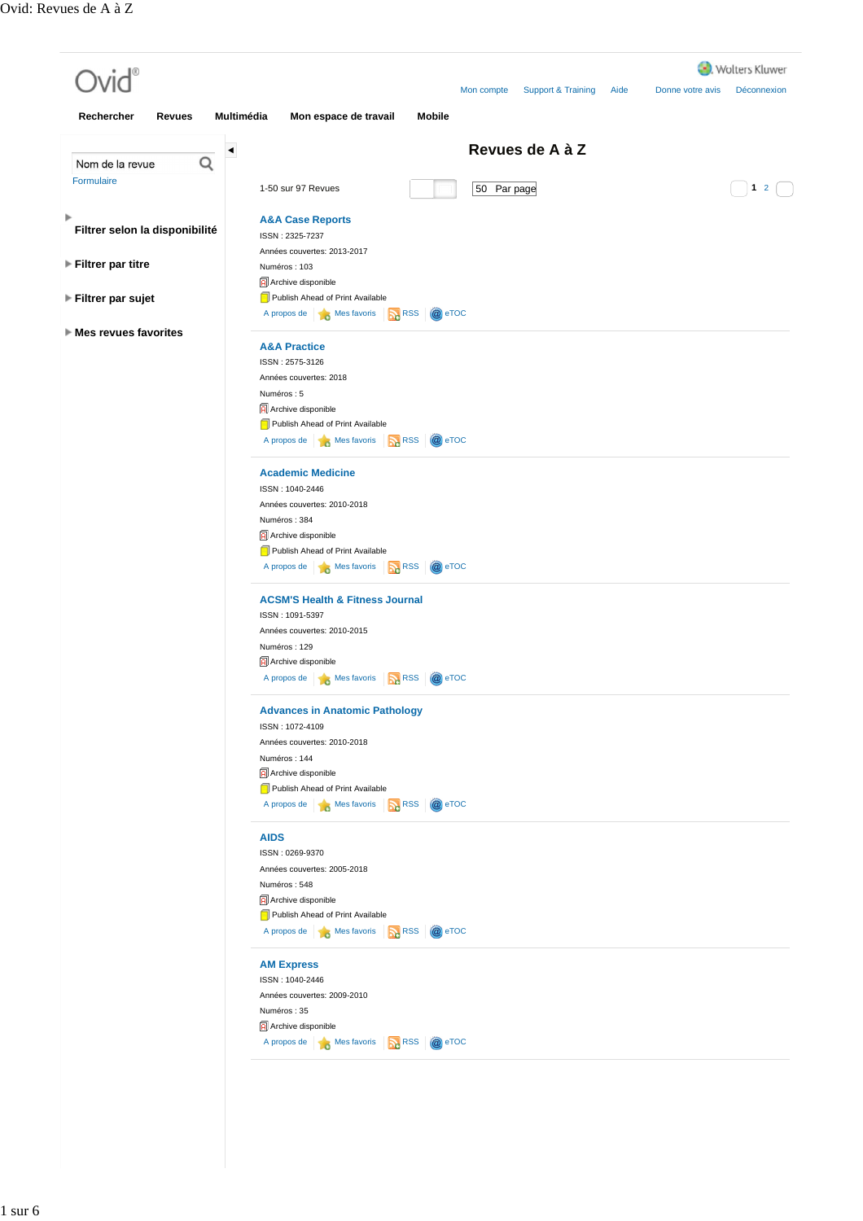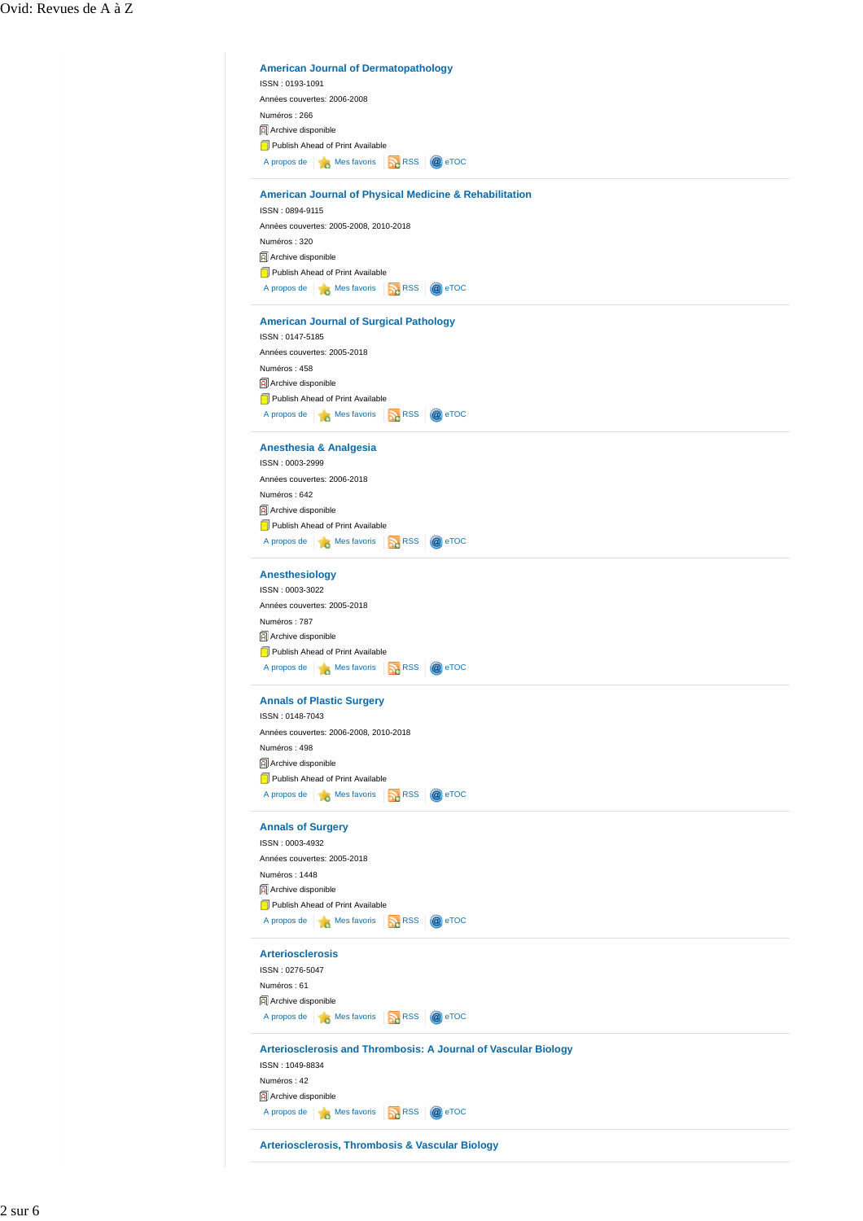| Années couvertes: 2006-2008                                 |                                                                   |
|-------------------------------------------------------------|-------------------------------------------------------------------|
| Numéros: 266                                                |                                                                   |
| Archive disponible                                          |                                                                   |
| Publish Ahead of Print Available                            |                                                                   |
| A propos de <b>Mes</b> Mes favoris <b>RA</b> RSS            | @ eTOC                                                            |
|                                                             | <b>American Journal of Physical Medicine &amp; Rehabilitation</b> |
| ISSN: 0894-9115                                             |                                                                   |
| Années couvertes: 2005-2008, 2010-2018                      |                                                                   |
| Numéros: 320                                                |                                                                   |
| Archive disponible                                          |                                                                   |
| Publish Ahead of Print Available                            |                                                                   |
| A propos de <b>6</b> Mes favoris                            | RSS <sub>12</sub><br>@ eTOC                                       |
| <b>American Journal of Surgical Pathology</b>               |                                                                   |
| ISSN: 0147-5185                                             |                                                                   |
| Années couvertes: 2005-2018                                 |                                                                   |
| Numéros: 458                                                |                                                                   |
| Archive disponible                                          |                                                                   |
| Publish Ahead of Print Available                            |                                                                   |
| A propos de <b>6</b> Mes favoris                            | <b>RSS</b><br>@ eTOC                                              |
| Anesthesia & Analgesia                                      |                                                                   |
| ISSN: 0003-2999                                             |                                                                   |
| Années couvertes: 2006-2018                                 |                                                                   |
| Numéros: 642                                                |                                                                   |
| Archive disponible                                          |                                                                   |
| Publish Ahead of Print Available                            |                                                                   |
| A propos de $\qquad \qquad$ Mes favoris                     | RSS<br>@ eTOC                                                     |
| Anesthesiology                                              |                                                                   |
| ISSN: 0003-3022                                             |                                                                   |
| Années couvertes: 2005-2018                                 |                                                                   |
| Numéros: 787                                                |                                                                   |
| Archive disponible                                          |                                                                   |
| Publish Ahead of Print Available                            |                                                                   |
| A propos de <b>6</b> Mes favoris <b>R</b> RSS               | @ eTOC                                                            |
| <b>Annals of Plastic Surgery</b>                            |                                                                   |
| ISSN: 0148-7043                                             |                                                                   |
| Années couvertes: 2006-2008, 2010-2018                      |                                                                   |
| Numéros: 498                                                |                                                                   |
| Archive disponible<br>Publish Ahead of Print Available      |                                                                   |
| A propos de <b>6</b> Mes favoris <b>R</b> RSS <b>@</b> eTOC |                                                                   |
|                                                             |                                                                   |
| <b>Annals of Surgery</b><br>ISSN: 0003-4932                 |                                                                   |
| Années couvertes: 2005-2018                                 |                                                                   |
| Numéros: 1448                                               |                                                                   |
| Archive disponible                                          |                                                                   |
| Publish Ahead of Print Available                            |                                                                   |
| A propos de <b>6</b> Mes favoris <b>R</b> RSS               | @ eTOC                                                            |
| <b>Arteriosclerosis</b>                                     |                                                                   |
| ISSN: 0276-5047                                             |                                                                   |
| Numéros: 61                                                 |                                                                   |
| Archive disponible                                          |                                                                   |
| A propos de <b>A</b> Mes favoris <b>A</b> RSS               | @ eTOC                                                            |
|                                                             | Arteriosclerosis and Thrombosis: A Journal of Vascular Biology    |
| ISSN: 1049-8834                                             |                                                                   |
| Numéros: 42                                                 |                                                                   |
| Archive disponible                                          |                                                                   |
| A propos de <b>6</b> Mes favoris <b>R</b> RSS               | @ eTOC                                                            |
|                                                             |                                                                   |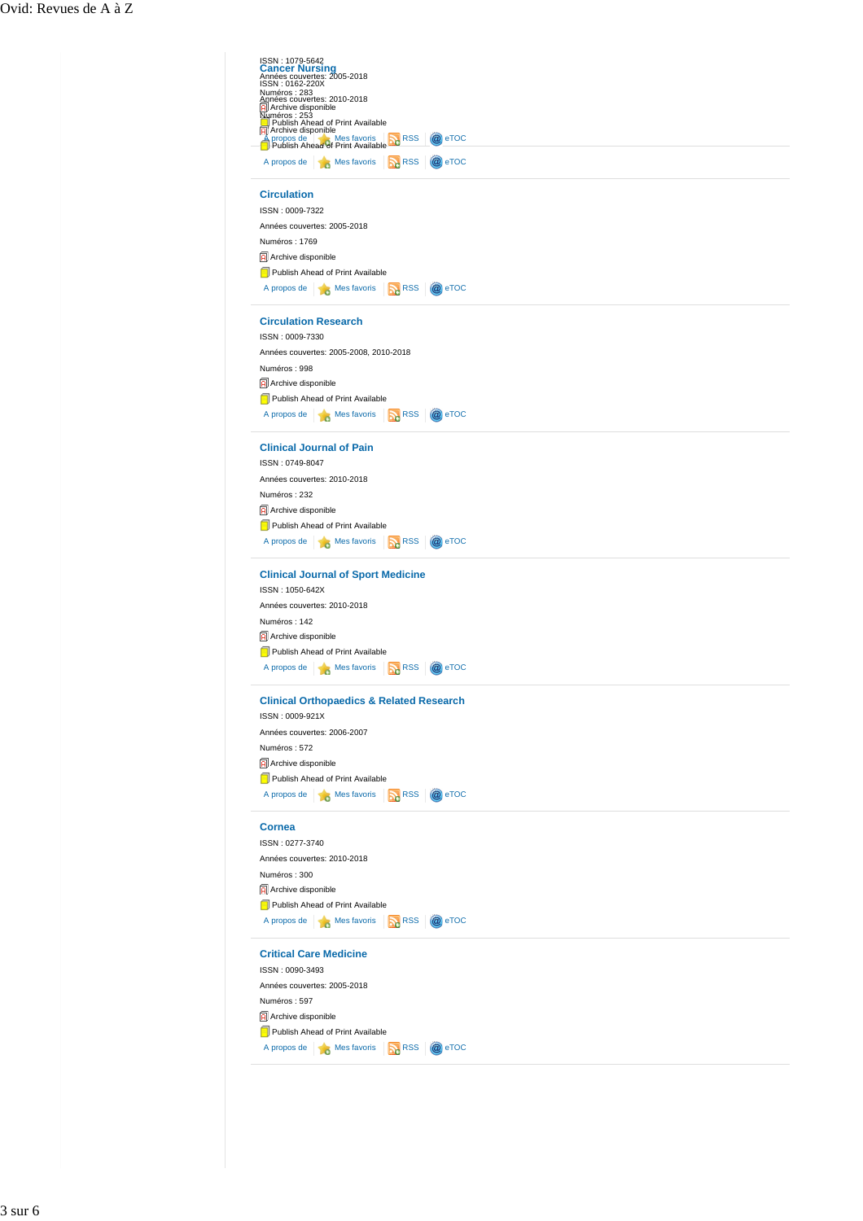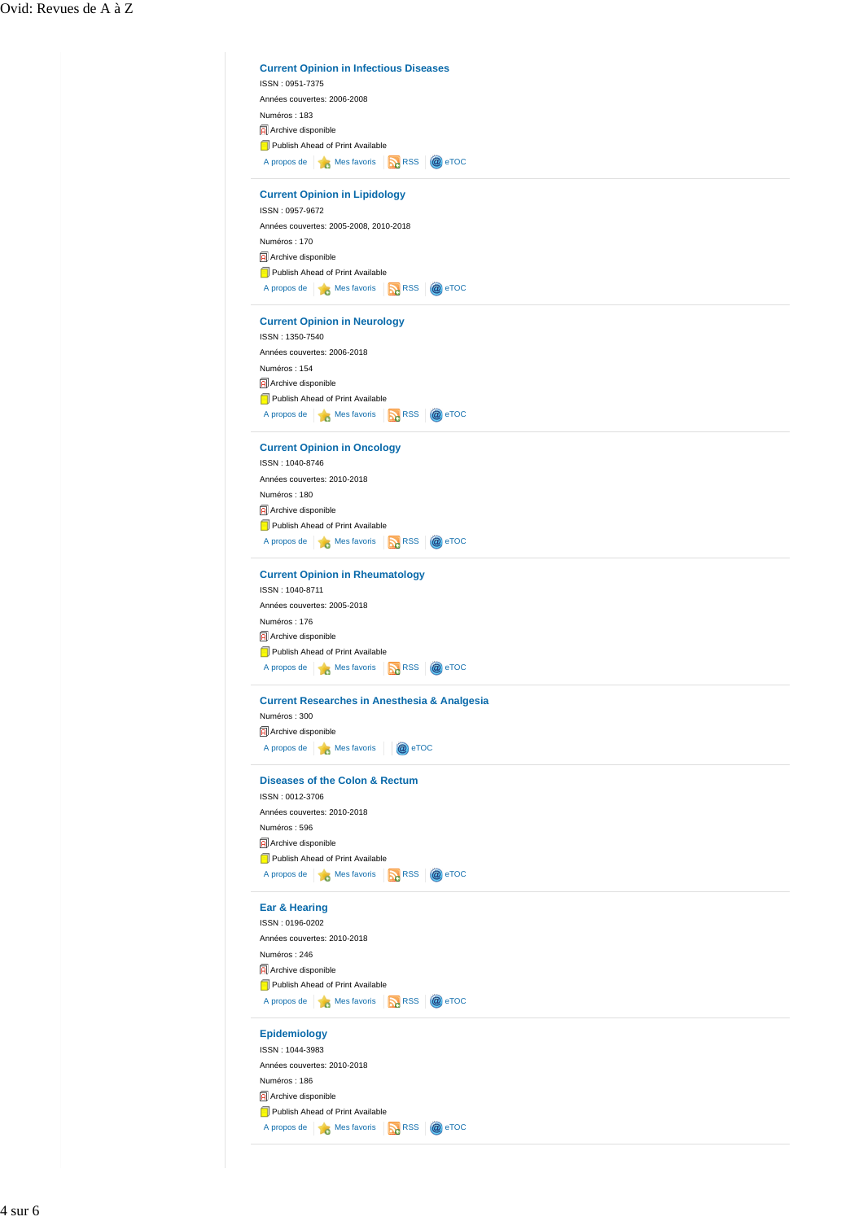| ISSN: 0951-7375<br>Années couvertes: 2006-2008          | <b>Current Opinion in Infectious Diseases</b> |
|---------------------------------------------------------|-----------------------------------------------|
|                                                         |                                               |
|                                                         |                                               |
| Numéros: 183                                            |                                               |
| Archive disponible                                      |                                               |
| Publish Ahead of Print Available                        |                                               |
| A propos de <b>No. 7</b> Mes favoris <b>No. 7</b> RSS   | @ eTOC                                        |
|                                                         |                                               |
| <b>Current Opinion in Lipidology</b><br>ISSN: 0957-9672 |                                               |
|                                                         |                                               |
| Années couvertes: 2005-2008, 2010-2018                  |                                               |
| Numéros: 170                                            |                                               |
| Archive disponible                                      |                                               |
| Publish Ahead of Print Available                        |                                               |
| A propos de <b>18 Mes favoris</b> RSS                   | @ eTOC                                        |
| <b>Current Opinion in Neurology</b>                     |                                               |
| ISSN: 1350-7540                                         |                                               |
| Années couvertes: 2006-2018                             |                                               |
|                                                         |                                               |
| Numéros: 154                                            |                                               |
| Archive disponible                                      |                                               |
| Publish Ahead of Print Available                        |                                               |
| A propos de <b>A</b> Mes favoris<br>RSS                 | @ eTOC                                        |
| <b>Current Opinion in Oncology</b>                      |                                               |
| ISSN: 1040-8746                                         |                                               |
|                                                         |                                               |
| Années couvertes: 2010-2018                             |                                               |
| Numéros: 180                                            |                                               |
| Archive disponible                                      |                                               |
| Publish Ahead of Print Available                        |                                               |
| A propos de <b>6</b> Mes favoris <b>1</b> RSS           | @ eTOC                                        |
| <b>Current Opinion in Rheumatology</b>                  |                                               |
| ISSN: 1040-8711                                         |                                               |
| Années couvertes: 2005-2018                             |                                               |
|                                                         |                                               |
| Numéros: 176                                            |                                               |
| Archive disponible                                      |                                               |
| Publish Ahead of Print Available                        |                                               |
| A propos de <b>A Mes</b> favoris<br>RSS <sub>12</sub>   | <b>a</b> eTOC                                 |
| <b>Current Researches in Anesthesia &amp; Analgesia</b> |                                               |
| Numéros: 300                                            |                                               |
| Archive disponible                                      |                                               |
|                                                         | @ eTOC                                        |
| A propos de <b>6</b> Mes favoris                        |                                               |
|                                                         |                                               |
| Diseases of the Colon & Rectum                          |                                               |
| ISSN: 0012-3706                                         |                                               |
| Années couvertes: 2010-2018                             |                                               |
| Numéros: 596                                            |                                               |
| Archive disponible                                      |                                               |
| Publish Ahead of Print Available                        |                                               |
| A propos de <b>A</b> Mes favoris <b>A</b> RSS           | @ eTOC                                        |
|                                                         |                                               |
| Ear & Hearing                                           |                                               |
| ISSN: 0196-0202                                         |                                               |
| Années couvertes: 2010-2018                             |                                               |
| Numéros: 246                                            |                                               |
| Archive disponible                                      |                                               |
| Publish Ahead of Print Available                        |                                               |
| A propos de <b>6</b> Mes favoris <b>6</b> RSS           | @ eTOC                                        |
|                                                         |                                               |
| Epidemiology                                            |                                               |
| ISSN: 1044-3983                                         |                                               |
| Années couvertes: 2010-2018                             |                                               |
| Numéros: 186                                            |                                               |
| Archive disponible                                      |                                               |
| Publish Ahead of Print Available                        |                                               |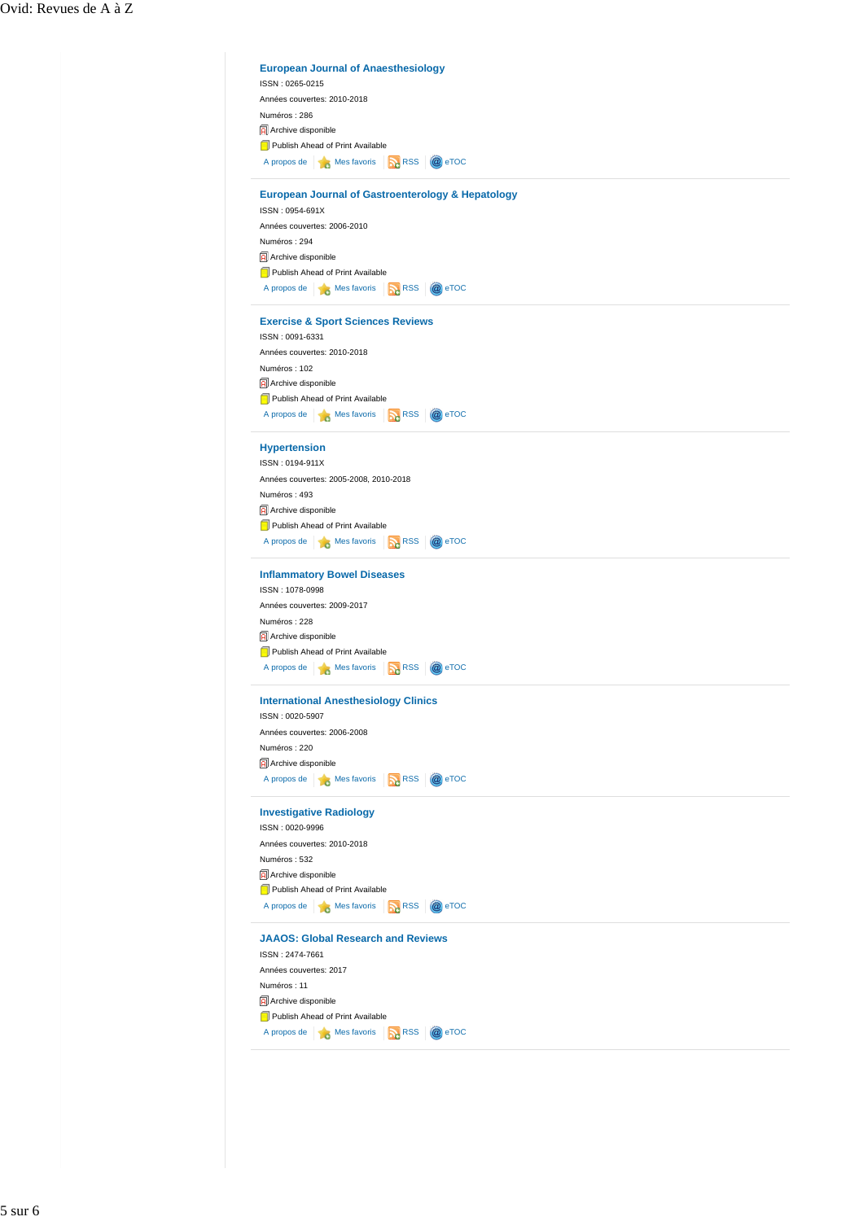| Années couvertes: 2010-2018                                                     |
|---------------------------------------------------------------------------------|
| Numéros: 286                                                                    |
| Archive disponible                                                              |
| Publish Ahead of Print Available                                                |
|                                                                                 |
| A propos de <b>Mes</b> Mes favoris <b>R</b> RSS<br>@ eTOC                       |
| <b>European Journal of Gastroenterology &amp; Hepatology</b><br>ISSN: 0954-691X |
| Années couvertes: 2006-2010                                                     |
|                                                                                 |
| Numéros: 294                                                                    |
| Archive disponible                                                              |
| Publish Ahead of Print Available                                                |
| A propos de <b>B</b> Mes favoris <b>RSS</b><br>@ eTOC                           |
| <b>Exercise &amp; Sport Sciences Reviews</b>                                    |
| ISSN: 0091-6331                                                                 |
| Années couvertes: 2010-2018                                                     |
| Numéros: 102                                                                    |
| Archive disponible                                                              |
| Publish Ahead of Print Available                                                |
| A propos de <b>B</b> Mes favoris <b>R</b> RSS<br>@ eTOC                         |
| <b>Hypertension</b>                                                             |
| ISSN: 0194-911X                                                                 |
| Années couvertes: 2005-2008, 2010-2018                                          |
| Numéros: 493                                                                    |
| Archive disponible                                                              |
| Publish Ahead of Print Available                                                |
| A propos de <b>6</b> Mes favoris <b>R</b> RSS<br>@ eTOC                         |
|                                                                                 |
| <b>Inflammatory Bowel Diseases</b>                                              |
| ISSN: 1078-0998                                                                 |
| Années couvertes: 2009-2017                                                     |
| Numéros: 228                                                                    |
| Archive disponible                                                              |
| Publish Ahead of Print Available                                                |
| A propos de <b>6</b> Mes favoris <b>R</b> RSS<br>@ eTOC                         |
| <b>International Anesthesiology Clinics</b>                                     |
| ISSN: 0020-5907                                                                 |
| Années couvertes: 2006-2008                                                     |
| Numéros : 220                                                                   |
| Archive disponible                                                              |
| A propos de <b>B</b> Mes favoris <b>B</b> RSS<br>@ eTOC                         |
| <b>Investigative Radiology</b>                                                  |
| ISSN: 0020-9996                                                                 |
| Années couvertes: 2010-2018                                                     |
| Numéros: 532                                                                    |
| Archive disponible                                                              |
| Publish Ahead of Print Available                                                |
| A propos de <b>No. 7</b> Mes favoris <b>No. 7</b> RSS<br>@ eTOC                 |
| <b>JAAOS: Global Research and Reviews</b>                                       |
| ISSN: 2474-7661                                                                 |
| Années couvertes: 2017                                                          |
| Numéros: 11                                                                     |
| Archive disponible                                                              |
| Publish Ahead of Print Available                                                |
| A propos de <b>B</b> Mes favoris <b>B</b> RSS<br>@ eTOC                         |
|                                                                                 |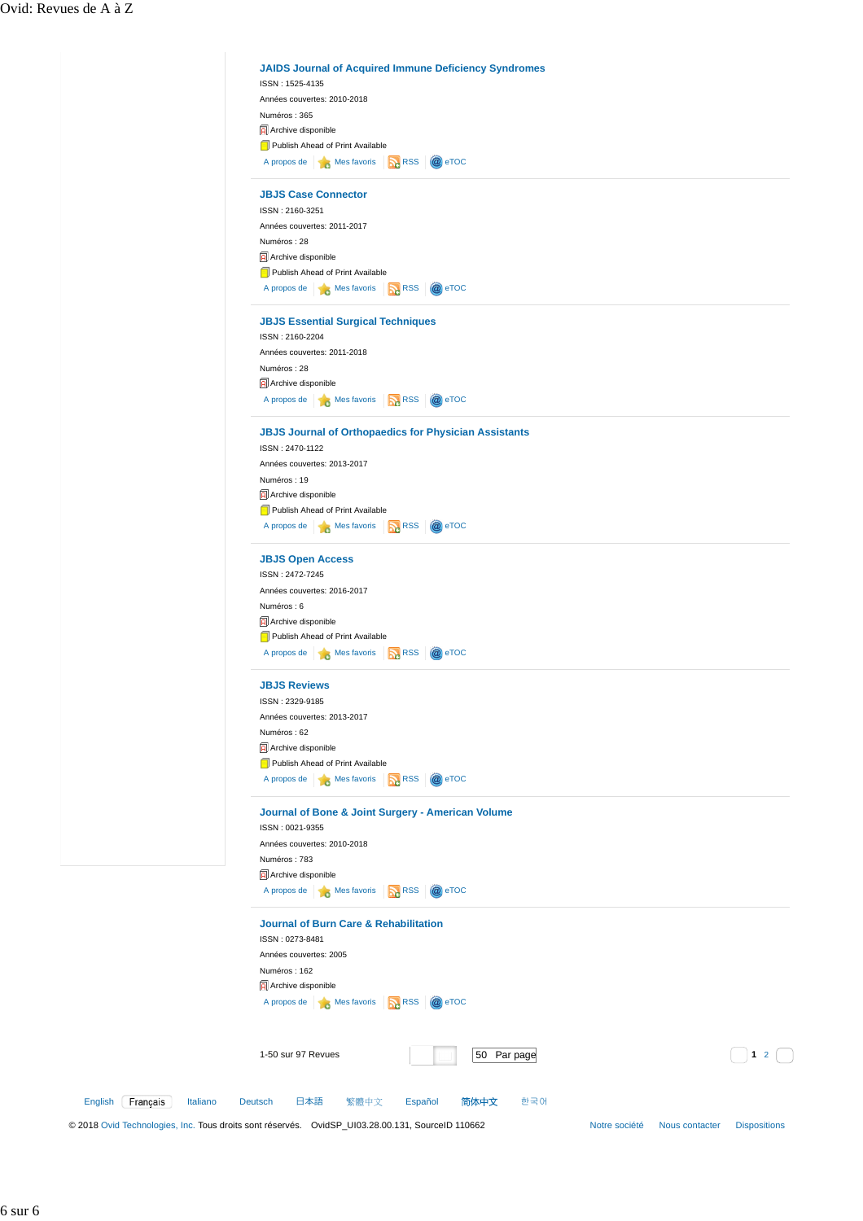|                                 | <b>JAIDS Journal of Acquired Immune Deficiency Syndromes</b><br>ISSN: 1525-4135                                                                             |
|---------------------------------|-------------------------------------------------------------------------------------------------------------------------------------------------------------|
|                                 | Années couvertes: 2010-2018                                                                                                                                 |
|                                 | Numéros: 365                                                                                                                                                |
|                                 | Archive disponible                                                                                                                                          |
|                                 | Publish Ahead of Print Available                                                                                                                            |
|                                 | A propos de <b>of Mes</b> favoris <b>R</b> RSS<br>@ eTOC                                                                                                    |
|                                 |                                                                                                                                                             |
|                                 | <b>JBJS Case Connector</b>                                                                                                                                  |
|                                 | ISSN: 2160-3251                                                                                                                                             |
|                                 | Années couvertes: 2011-2017                                                                                                                                 |
|                                 | Numéros: 28                                                                                                                                                 |
|                                 | Archive disponible                                                                                                                                          |
|                                 | Publish Ahead of Print Available                                                                                                                            |
|                                 | A propos de <b>16</b> Mes favoris <b>16</b> RSS<br>@ eTOC                                                                                                   |
|                                 | <b>JBJS Essential Surgical Techniques</b>                                                                                                                   |
|                                 | ISSN: 2160-2204                                                                                                                                             |
|                                 | Années couvertes: 2011-2018                                                                                                                                 |
|                                 | Numéros: 28                                                                                                                                                 |
|                                 | Archive disponible                                                                                                                                          |
|                                 | A propos de <b>6</b> Mes favoris <b>19 RSS</b><br>@ eTOC                                                                                                    |
|                                 | <b>JBJS Journal of Orthopaedics for Physician Assistants</b>                                                                                                |
|                                 | ISSN: 2470-1122                                                                                                                                             |
|                                 | Années couvertes: 2013-2017                                                                                                                                 |
|                                 | Numéros: 19                                                                                                                                                 |
|                                 | Archive disponible                                                                                                                                          |
|                                 | Publish Ahead of Print Available                                                                                                                            |
|                                 | A propos de <b>6</b> Mes favoris <b>1</b> RSS<br>@ eTOC                                                                                                     |
|                                 | <b>JBJS Open Access</b>                                                                                                                                     |
|                                 | ISSN: 2472-7245                                                                                                                                             |
|                                 | Années couvertes: 2016-2017                                                                                                                                 |
|                                 | Numéros: 6                                                                                                                                                  |
|                                 | Archive disponible                                                                                                                                          |
|                                 | Publish Ahead of Print Available                                                                                                                            |
|                                 | A propos de <b>6</b> Mes favoris <b>6</b> RSS<br>@ eTOC                                                                                                     |
|                                 |                                                                                                                                                             |
|                                 | <b>JBJS Reviews</b>                                                                                                                                         |
|                                 | ISSN: 2329-9185                                                                                                                                             |
|                                 | Années couvertes: 2013-2017                                                                                                                                 |
|                                 | Numéros: 62                                                                                                                                                 |
|                                 | Archive disponible                                                                                                                                          |
|                                 | Publish Ahead of Print Available                                                                                                                            |
|                                 | A propos de <b>S</b> Mes favoris <b>R</b> RSS<br>@ eTOC                                                                                                     |
|                                 | Journal of Bone & Joint Surgery - American Volume                                                                                                           |
|                                 | ISSN: 0021-9355                                                                                                                                             |
|                                 | Années couvertes: 2010-2018                                                                                                                                 |
|                                 | Numéros: 783                                                                                                                                                |
|                                 | Archive disponible                                                                                                                                          |
|                                 | A propos de <b>B</b> Mes favoris <b>R</b> RSS<br>@ eTOC                                                                                                     |
|                                 | <b>Journal of Burn Care &amp; Rehabilitation</b>                                                                                                            |
|                                 | ISSN: 0273-8481                                                                                                                                             |
|                                 | Années couvertes: 2005                                                                                                                                      |
|                                 | Numéros: 162                                                                                                                                                |
|                                 | Archive disponible                                                                                                                                          |
|                                 | A propos de <b>6</b> Mes favoris <b>6</b> RSS<br>@ eTOC                                                                                                     |
|                                 |                                                                                                                                                             |
|                                 |                                                                                                                                                             |
|                                 | 1-50 sur 97 Revues<br>50 Par page<br>$1\quad2$                                                                                                              |
|                                 |                                                                                                                                                             |
| Français<br>Italiano<br>English | 日本語<br>简体中文<br>한국어<br>Deutsch<br>繁體中文<br>Español                                                                                                            |
|                                 | @ 2018 Ovid Technologies, Inc. Tous droits sont réservés.  OvidSP_UI03.28.00.131, SourceID 110662<br><b>Dispositions</b><br>Notre société<br>Nous contacter |
|                                 |                                                                                                                                                             |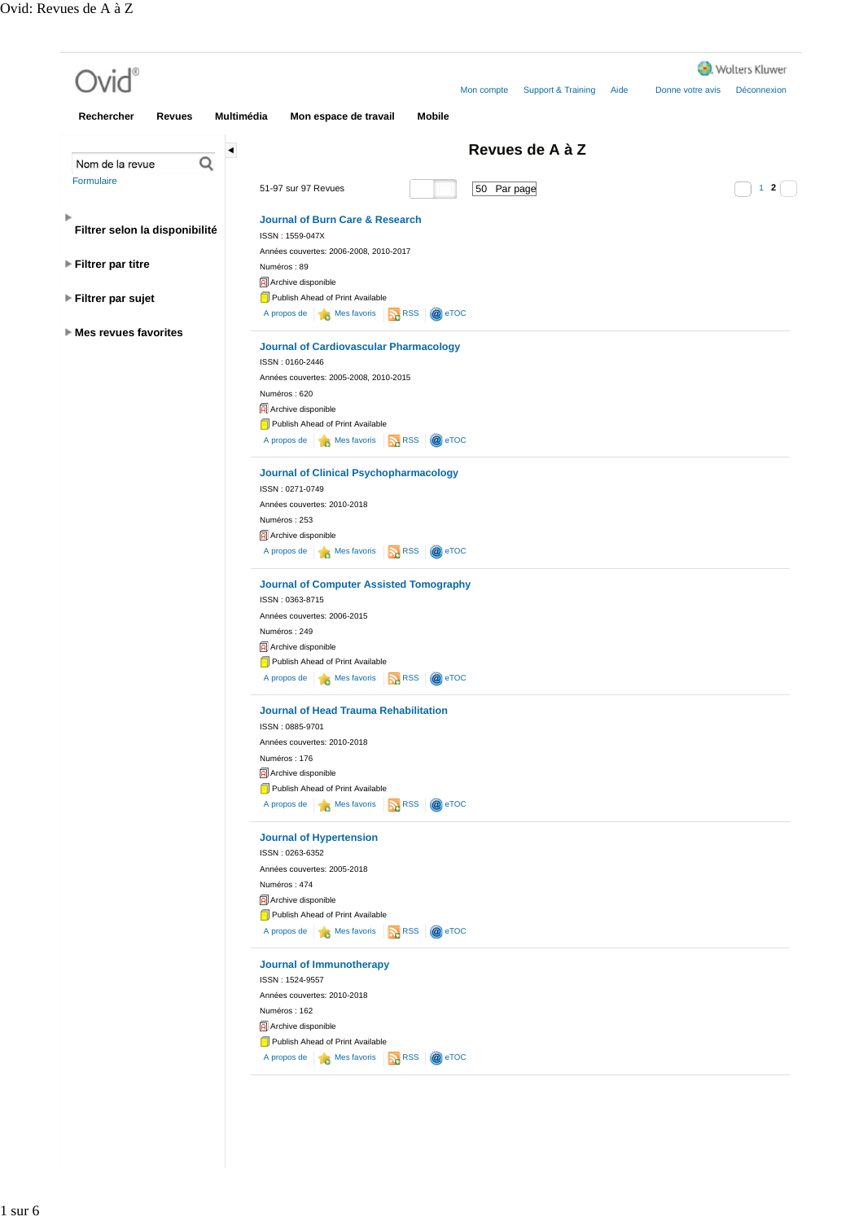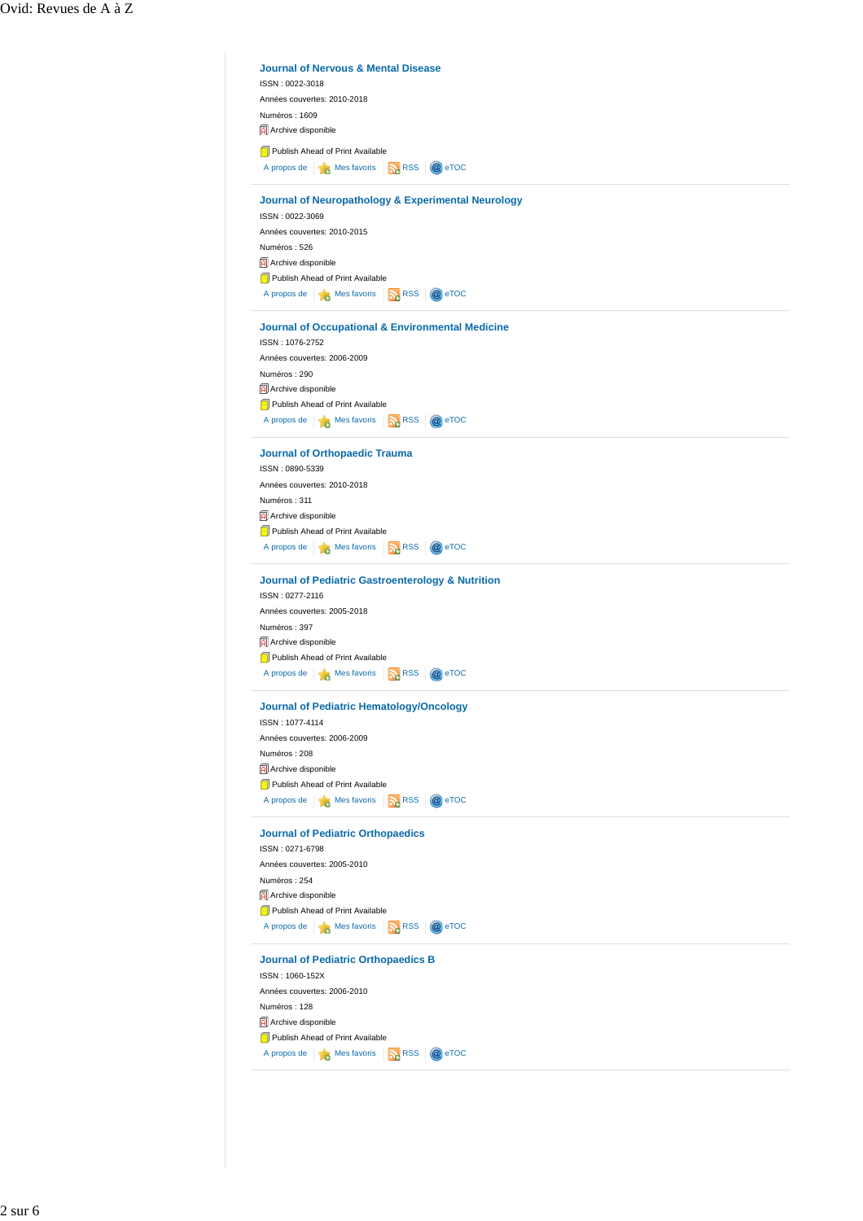|                                    | Années couvertes: 2010-2018                                                  |
|------------------------------------|------------------------------------------------------------------------------|
| Numéros: 1609                      |                                                                              |
| Archive disponible                 |                                                                              |
|                                    | Publish Ahead of Print Available                                             |
|                                    | A propos de <b>Nes</b> Mes favoris<br><b>RSS</b><br>@ eTOC                   |
|                                    | <b>Journal of Neuropathology &amp; Experimental Neurology</b>                |
| ISSN: 0022-3069                    |                                                                              |
|                                    | Années couvertes: 2010-2015                                                  |
| Numéros: 526                       |                                                                              |
| Archive disponible                 |                                                                              |
|                                    | Publish Ahead of Print Available                                             |
|                                    | A propos de <b>A</b> Mes favoris<br><b>DA</b> RSS<br>@ eTOC                  |
|                                    | <b>Journal of Occupational &amp; Environmental Medicine</b>                  |
| ISSN: 1076-2752                    |                                                                              |
|                                    | Années couvertes: 2006-2009                                                  |
| Numéros: 290                       |                                                                              |
| Archive disponible                 |                                                                              |
|                                    | Publish Ahead of Print Available                                             |
|                                    | <b>RSS</b><br>@ eTOC<br>A propos de <b>A Mes</b> favoris                     |
|                                    |                                                                              |
| ISSN: 0890-5339                    | <b>Journal of Orthopaedic Trauma</b>                                         |
|                                    | Années couvertes: 2010-2018                                                  |
| Numéros: 311                       |                                                                              |
| Archive disponible                 |                                                                              |
|                                    | Publish Ahead of Print Available                                             |
|                                    | A propos de <b>A</b> Mes favoris<br><b>D</b> <sub>RSS</sub><br>$\omega$ eTOC |
|                                    |                                                                              |
|                                    | <b>Journal of Pediatric Gastroenterology &amp; Nutrition</b>                 |
| ISSN: 0277-2116                    |                                                                              |
|                                    | Années couvertes: 2005-2018                                                  |
| Numéros: 397<br>Archive disponible |                                                                              |
|                                    | Publish Ahead of Print Available                                             |
|                                    | A propos de <b>A</b> Mes favoris<br>@ eTOC<br><b>RSS</b>                     |
|                                    |                                                                              |
|                                    | <b>Journal of Pediatric Hematology/Oncology</b>                              |
| ISSN: 1077-4114                    |                                                                              |
|                                    | Années couvertes: 2006-2009                                                  |
| Numéros: 208                       |                                                                              |
| Archive disponible                 |                                                                              |
|                                    | Publish Ahead of Print Available                                             |
|                                    | A propos de <b>A</b> Mes favoris<br><b>DA</b> RSS<br>@ eTOC                  |
|                                    | <b>Journal of Pediatric Orthopaedics</b>                                     |
| ISSN: 0271-6798                    |                                                                              |
|                                    | Années couvertes: 2005-2010                                                  |
| Numéros: 254                       |                                                                              |
| Archive disponible                 |                                                                              |
|                                    | Publish Ahead of Print Available                                             |
| A propos de                        | Mes favoris<br><b>RSS</b><br>@ eTOC                                          |
|                                    | <b>Journal of Pediatric Orthopaedics B</b>                                   |
| ISSN: 1060-152X                    |                                                                              |
|                                    | Années couvertes: 2006-2010                                                  |
| Numéros: 128                       |                                                                              |
| Archive disponible                 |                                                                              |
|                                    | Publish Ahead of Print Available                                             |
|                                    | A propos de <b>A</b> Mes favoris<br><b>RSS</b><br>@ eTOC                     |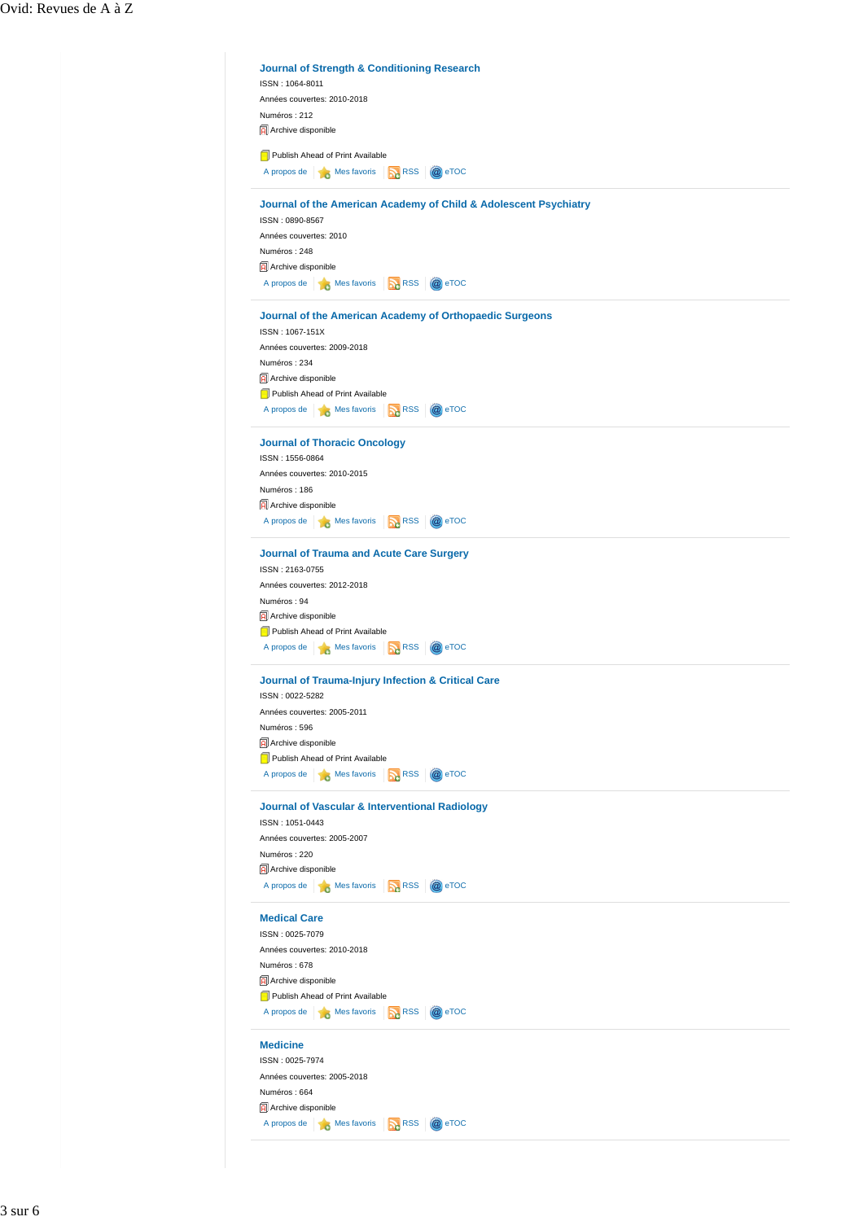|                                       | ISSN: 1064-8011                                                                     | <b>Journal of Strength &amp; Conditioning Research</b> |                                                                  |
|---------------------------------------|-------------------------------------------------------------------------------------|--------------------------------------------------------|------------------------------------------------------------------|
|                                       |                                                                                     |                                                        |                                                                  |
|                                       | Années couvertes: 2010-2018                                                         |                                                        |                                                                  |
| Numéros: 212                          |                                                                                     |                                                        |                                                                  |
| Archive disponible                    |                                                                                     |                                                        |                                                                  |
|                                       |                                                                                     |                                                        |                                                                  |
|                                       | Publish Ahead of Print Available                                                    |                                                        |                                                                  |
|                                       | A propos de <b>1 3</b> Mes favoris <b>1 RSS</b>                                     |                                                        | @ eTOC                                                           |
|                                       |                                                                                     |                                                        |                                                                  |
|                                       |                                                                                     |                                                        | Journal of the American Academy of Child & Adolescent Psychiatry |
| ISSN: 0890-8567                       |                                                                                     |                                                        |                                                                  |
| Années couvertes: 2010                |                                                                                     |                                                        |                                                                  |
| Numéros: 248                          |                                                                                     |                                                        |                                                                  |
| Archive disponible                    |                                                                                     |                                                        |                                                                  |
|                                       | A propos de <b>16</b> Mes favoris <b>16</b> RSS                                     |                                                        | @ eTOC                                                           |
|                                       |                                                                                     |                                                        |                                                                  |
|                                       |                                                                                     |                                                        | Journal of the American Academy of Orthopaedic Surgeons          |
| ISSN: 1067-151X                       |                                                                                     |                                                        |                                                                  |
|                                       | Années couvertes: 2009-2018                                                         |                                                        |                                                                  |
| Numéros: 234                          |                                                                                     |                                                        |                                                                  |
|                                       |                                                                                     |                                                        |                                                                  |
| Archive disponible                    |                                                                                     |                                                        |                                                                  |
|                                       | Publish Ahead of Print Available                                                    |                                                        |                                                                  |
|                                       | A propos de <b>B</b> Mes favoris <b>B</b> RSS                                       |                                                        | @ eTOC                                                           |
|                                       |                                                                                     |                                                        |                                                                  |
|                                       | <b>Journal of Thoracic Oncology</b>                                                 |                                                        |                                                                  |
| ISSN: 1556-0864                       |                                                                                     |                                                        |                                                                  |
|                                       | Années couvertes: 2010-2015                                                         |                                                        |                                                                  |
| Numéros: 186                          |                                                                                     |                                                        |                                                                  |
|                                       |                                                                                     |                                                        |                                                                  |
| Archive disponible                    |                                                                                     |                                                        |                                                                  |
|                                       | A propos de <b>A Mes</b> favoris <b>A RSS</b>                                       |                                                        | @ eTOC                                                           |
| Numéros: 94<br>Archive disponible     | Publish Ahead of Print Available<br>A propos de <b>Mes</b> Mes favoris <b>A</b> RSS |                                                        | @ eTOC                                                           |
|                                       |                                                                                     |                                                        | Journal of Trauma-Injury Infection & Critical Care               |
| ISSN: 0022-5282                       |                                                                                     |                                                        |                                                                  |
|                                       | Années couvertes: 2005-2011                                                         |                                                        |                                                                  |
|                                       |                                                                                     |                                                        |                                                                  |
| Numéros: 596                          |                                                                                     |                                                        |                                                                  |
| <b>A</b> rchive disponible            |                                                                                     |                                                        |                                                                  |
|                                       |                                                                                     |                                                        |                                                                  |
| Publish Ahead of Print Available      |                                                                                     |                                                        |                                                                  |
|                                       | A propos de <b>1 de</b> Mes favoris <b>1 RSS</b>                                    |                                                        | @ eTOC                                                           |
|                                       |                                                                                     |                                                        |                                                                  |
|                                       | <b>Journal of Vascular &amp; Interventional Radiology</b>                           |                                                        |                                                                  |
| ISSN: 1051-0443                       |                                                                                     |                                                        |                                                                  |
|                                       | Années couvertes: 2005-2007                                                         |                                                        |                                                                  |
| Numéros: 220                          |                                                                                     |                                                        |                                                                  |
| Archive disponible                    |                                                                                     |                                                        |                                                                  |
|                                       | A propos de $\bullet$ Mes favoris $\bullet$ RSS                                     |                                                        | @ eTOC                                                           |
|                                       |                                                                                     |                                                        |                                                                  |
| <b>Medical Care</b>                   |                                                                                     |                                                        |                                                                  |
| ISSN: 0025-7079                       |                                                                                     |                                                        |                                                                  |
|                                       | Années couvertes: 2010-2018                                                         |                                                        |                                                                  |
|                                       |                                                                                     |                                                        |                                                                  |
| Numéros: 678                          |                                                                                     |                                                        |                                                                  |
|                                       |                                                                                     |                                                        |                                                                  |
|                                       | Publish Ahead of Print Available                                                    |                                                        |                                                                  |
|                                       | A propos de <b>de Mes</b> favoris <b>R</b> RSS                                      |                                                        | @ eTOC                                                           |
|                                       |                                                                                     |                                                        |                                                                  |
| <b>Medicine</b>                       |                                                                                     |                                                        |                                                                  |
| Archive disponible<br>ISSN: 0025-7974 |                                                                                     |                                                        |                                                                  |
|                                       | Années couvertes: 2005-2018                                                         |                                                        |                                                                  |
| Numéros: 664                          |                                                                                     |                                                        |                                                                  |
| Archive disponible                    |                                                                                     |                                                        |                                                                  |
|                                       | A propos de <b>B</b> Mes favoris <b>R</b> RSS                                       |                                                        | @ eTOC                                                           |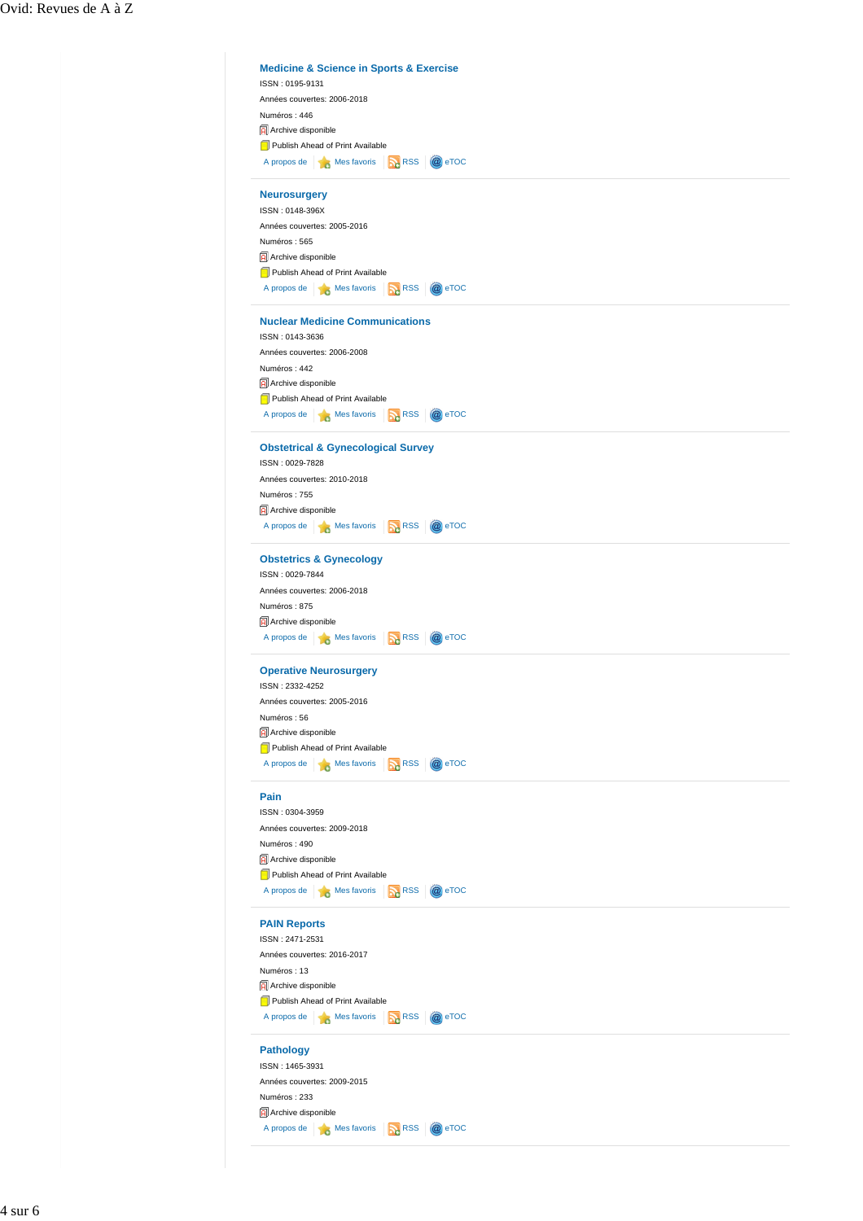| <b>Medicine &amp; Science in Sports &amp; Exercise</b>                            |                         |
|-----------------------------------------------------------------------------------|-------------------------|
| ISSN: 0195-9131                                                                   |                         |
| Années couvertes: 2006-2018                                                       |                         |
| Numéros: 446                                                                      |                         |
| Archive disponible                                                                |                         |
| Publish Ahead of Print Available                                                  |                         |
| A propos de <b>6</b> Mes favoris <b>12.</b> RSS                                   | @ eTOC                  |
| <b>Neurosurgery</b>                                                               |                         |
| ISSN: 0148-396X                                                                   |                         |
| Années couvertes: 2005-2016                                                       |                         |
| Numéros: 565                                                                      |                         |
| Archive disponible                                                                |                         |
| Publish Ahead of Print Available                                                  |                         |
| A propos de <b>6</b> Mes favoris                                                  | @ eTOC<br><b>RSS</b>    |
|                                                                                   |                         |
| <b>Nuclear Medicine Communications</b>                                            |                         |
| ISSN: 0143-3636                                                                   |                         |
| Années couvertes: 2006-2008                                                       |                         |
| Numéros: 442                                                                      |                         |
| Archive disponible                                                                |                         |
| Publish Ahead of Print Available                                                  |                         |
| A propos de <b>A</b> Mes favoris                                                  | <b>DA</b> RSS<br>@ eTOC |
|                                                                                   |                         |
| <b>Obstetrical &amp; Gynecological Survey</b><br>ISSN: 0029-7828                  |                         |
| Années couvertes: 2010-2018                                                       |                         |
|                                                                                   |                         |
| Numéros: 755                                                                      |                         |
| Archive disponible                                                                |                         |
| A propos de<br>Mes favoris RSS                                                    | @ eTOC                  |
| <b>Obstetrics &amp; Gynecology</b>                                                |                         |
| ISSN: 0029-7844                                                                   |                         |
| Années couvertes: 2006-2018                                                       |                         |
| Numéros: 875                                                                      |                         |
| Archive disponible                                                                |                         |
| A propos de <b>B</b> Mes favoris <b>B</b> RSS                                     | @ eTOC                  |
| <b>Operative Neurosurgery</b>                                                     |                         |
| ISSN: 2332-4252                                                                   |                         |
| Années couvertes: 2005-2016                                                       |                         |
| Numéros: 56                                                                       |                         |
| Archive disponible                                                                |                         |
| Publish Ahead of Print Available                                                  |                         |
| A propos de <b>6</b> Mes favoris <b>A</b> RSS                                     | @ eTOC                  |
|                                                                                   |                         |
| Pain                                                                              |                         |
| ISSN: 0304-3959                                                                   |                         |
| Années couvertes: 2009-2018                                                       |                         |
| Numéros: 490                                                                      |                         |
| Archive disponible                                                                |                         |
| Publish Ahead of Print Available                                                  |                         |
| A propos de <b>de Mes</b> favoris <b>R</b> RSS                                    | @ eTOC                  |
| <b>PAIN Reports</b>                                                               |                         |
|                                                                                   |                         |
| ISSN: 2471-2531                                                                   |                         |
|                                                                                   |                         |
| Années couvertes: 2016-2017                                                       |                         |
| Numéros: 13                                                                       |                         |
| Archive disponible                                                                |                         |
| Publish Ahead of Print Available<br>A propos de <b>6</b> Mes favoris <b>6</b> RSS | @ eTOC                  |
|                                                                                   |                         |
| <b>Pathology</b>                                                                  |                         |
| ISSN: 1465-3931                                                                   |                         |
| Années couvertes: 2009-2015                                                       |                         |
| Numéros: 233                                                                      |                         |
| Archive disponible                                                                |                         |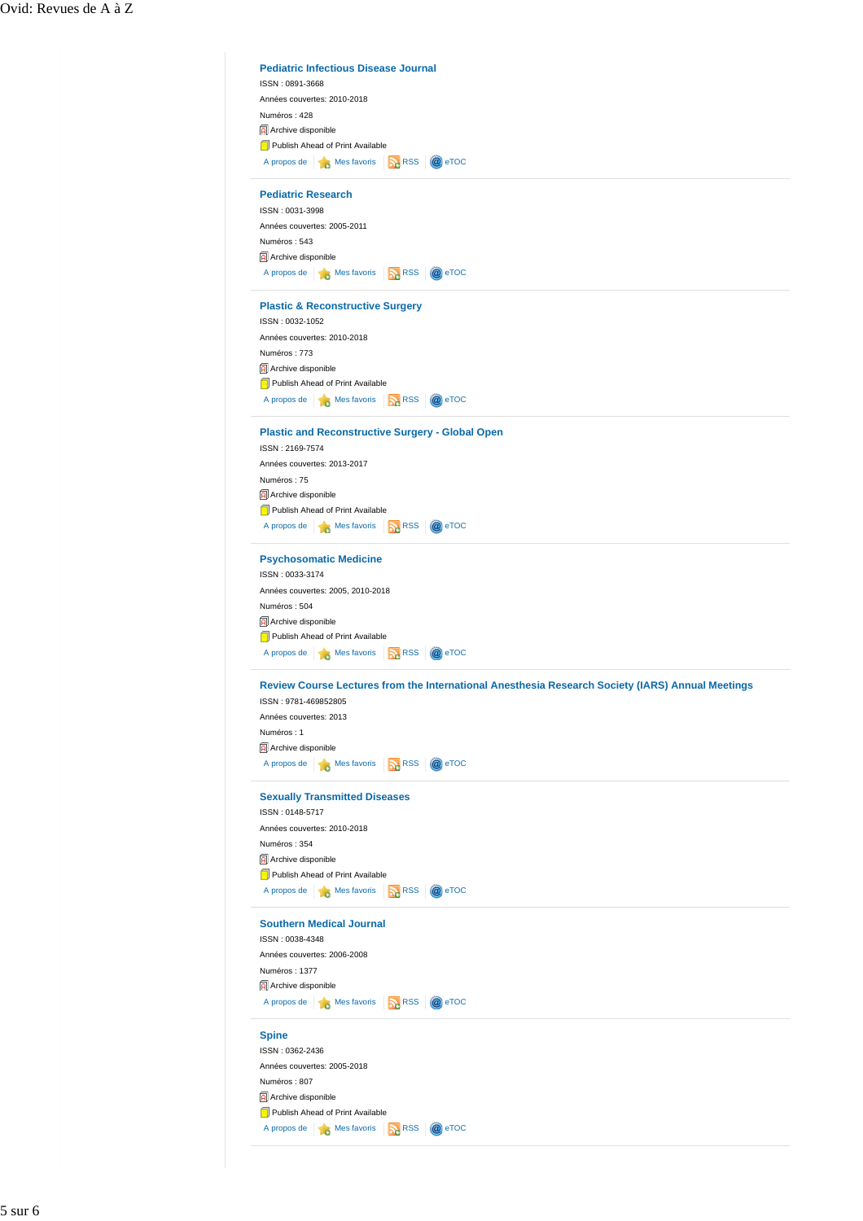| Numéros: 428                                                                        |               |                                                                                                  |
|-------------------------------------------------------------------------------------|---------------|--------------------------------------------------------------------------------------------------|
|                                                                                     |               |                                                                                                  |
| Archive disponible                                                                  |               |                                                                                                  |
| Publish Ahead of Print Available                                                    |               |                                                                                                  |
| A propos de <b>de Mes</b> favoris <b>R</b> RSS                                      |               | @ eTOC                                                                                           |
| <b>Pediatric Research</b>                                                           |               |                                                                                                  |
| ISSN: 0031-3998                                                                     |               |                                                                                                  |
| Années couvertes: 2005-2011                                                         |               |                                                                                                  |
| Numéros: 543                                                                        |               |                                                                                                  |
| Archive disponible                                                                  |               |                                                                                                  |
| A propos de <b>6</b> Mes favoris                                                    | <b>DA</b> RSS | @ eTOC                                                                                           |
| <b>Plastic &amp; Reconstructive Surgery</b>                                         |               |                                                                                                  |
| ISSN: 0032-1052                                                                     |               |                                                                                                  |
| Années couvertes: 2010-2018                                                         |               |                                                                                                  |
| Numéros: 773                                                                        |               |                                                                                                  |
| Archive disponible                                                                  |               |                                                                                                  |
| Publish Ahead of Print Available                                                    |               |                                                                                                  |
| A propos de <b>B</b> Mes favoris <b>R</b> RSS                                       |               | @ eTOC                                                                                           |
| <b>Plastic and Reconstructive Surgery - Global Open</b>                             |               |                                                                                                  |
| ISSN: 2169-7574                                                                     |               |                                                                                                  |
| Années couvertes: 2013-2017                                                         |               |                                                                                                  |
| Numéros: 75                                                                         |               |                                                                                                  |
| Archive disponible                                                                  |               |                                                                                                  |
| Publish Ahead of Print Available<br>A propos de <b>16</b> Mes favoris <b>16</b> RSS |               | @ eTOC                                                                                           |
|                                                                                     |               |                                                                                                  |
| <b>Psychosomatic Medicine</b>                                                       |               |                                                                                                  |
| ISSN: 0033-3174                                                                     |               |                                                                                                  |
| Années couvertes: 2005, 2010-2018                                                   |               |                                                                                                  |
| Numéros: 504                                                                        |               |                                                                                                  |
| Archive disponible                                                                  |               |                                                                                                  |
| Publish Ahead of Print Available                                                    |               |                                                                                                  |
| A propos de <b>B</b> Mes favoris <b>B</b> RSS                                       |               | @ eTOC                                                                                           |
|                                                                                     |               | Review Course Lectures from the International Anesthesia Research Society (IARS) Annual Meetings |
| ISSN: 9781-469852805                                                                |               |                                                                                                  |
| Années couvertes: 2013                                                              |               |                                                                                                  |
| Numéros: 1                                                                          |               |                                                                                                  |
|                                                                                     |               |                                                                                                  |
| Archive disponible                                                                  |               | @ eTOC                                                                                           |
| A propos de <b>6</b> Mes favoris <b>R</b> RSS                                       |               |                                                                                                  |
| <b>Sexually Transmitted Diseases</b>                                                |               |                                                                                                  |
| ISSN: 0148-5717                                                                     |               |                                                                                                  |
| Années couvertes: 2010-2018                                                         |               |                                                                                                  |
| Numéros: 354                                                                        |               |                                                                                                  |
| Archive disponible<br>Publish Ahead of Print Available                              |               |                                                                                                  |
| A propos de <b>de Mes</b> favoris <b>R</b> RSS                                      |               | @ eTOC                                                                                           |
| <b>Southern Medical Journal</b>                                                     |               |                                                                                                  |
| ISSN: 0038-4348                                                                     |               |                                                                                                  |
| Années couvertes: 2006-2008                                                         |               |                                                                                                  |
| Numéros: 1377                                                                       |               |                                                                                                  |
| Archive disponible                                                                  |               |                                                                                                  |
| A propos de <b>16</b> Mes favoris <b>12</b> RSS                                     |               | @ eTOC                                                                                           |
| <b>Spine</b>                                                                        |               |                                                                                                  |
| ISSN: 0362-2436                                                                     |               |                                                                                                  |
| Années couvertes: 2005-2018                                                         |               |                                                                                                  |
| Numéros: 807                                                                        |               |                                                                                                  |
| Archive disponible<br>Publish Ahead of Print Available                              |               |                                                                                                  |